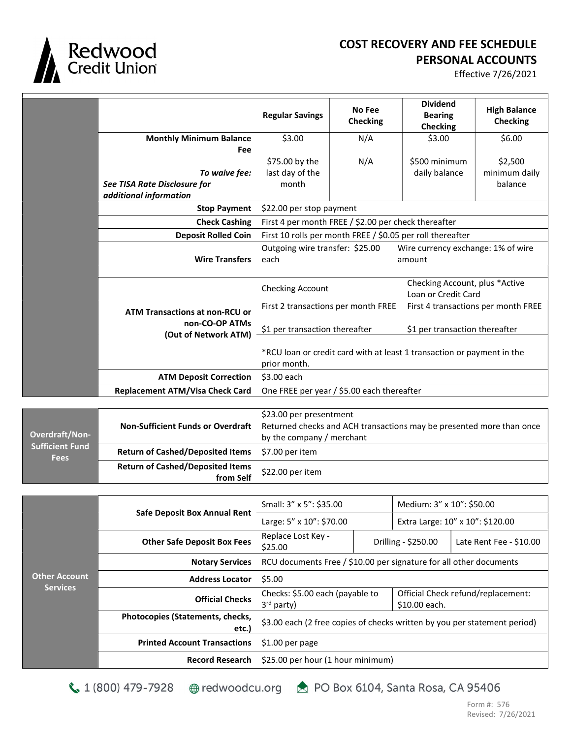

Sufficient Fund Fees

## COST RECOVERY AND FEE SCHEDULE PERSONAL ACCOUNTS

Effective 7/26/2021

|                       |                                                                                          | <b>Regular Savings</b>                                                                 | <b>No Fee</b><br><b>Checking</b>                     | <b>Dividend</b><br><b>Bearing</b><br><b>Checking</b> | <b>High Balance</b><br><b>Checking</b> |
|-----------------------|------------------------------------------------------------------------------------------|----------------------------------------------------------------------------------------|------------------------------------------------------|------------------------------------------------------|----------------------------------------|
|                       | <b>Monthly Minimum Balance</b>                                                           | \$3.00                                                                                 | N/A                                                  | \$3.00                                               | \$6.00                                 |
|                       | Fee                                                                                      |                                                                                        |                                                      |                                                      |                                        |
|                       |                                                                                          | \$75.00 by the                                                                         | N/A                                                  | \$500 minimum                                        | \$2,500                                |
|                       | To waive fee:                                                                            | last day of the                                                                        |                                                      | daily balance                                        | minimum daily                          |
|                       | See TISA Rate Disclosure for                                                             | month                                                                                  |                                                      |                                                      | balance                                |
|                       | additional information                                                                   |                                                                                        |                                                      |                                                      |                                        |
|                       | <b>Stop Payment</b>                                                                      | \$22.00 per stop payment                                                               |                                                      |                                                      |                                        |
|                       | <b>Check Cashing</b>                                                                     |                                                                                        | First 4 per month FREE / \$2.00 per check thereafter |                                                      |                                        |
|                       | <b>Deposit Rolled Coin</b><br>First 10 rolls per month FREE / \$0.05 per roll thereafter |                                                                                        |                                                      |                                                      |                                        |
|                       | <b>Wire Transfers</b>                                                                    | Outgoing wire transfer: \$25.00<br>each                                                |                                                      | Wire currency exchange: 1% of wire<br>amount         |                                        |
|                       |                                                                                          | Checking Account, plus *Active<br><b>Checking Account</b><br>Loan or Credit Card       |                                                      |                                                      |                                        |
|                       | ATM Transactions at non-RCU or<br>non-CO-OP ATMs<br>(Out of Network ATM)                 | First 2 transactions per month FREE<br>First 4 transactions per month FREE             |                                                      |                                                      |                                        |
|                       |                                                                                          | \$1 per transaction thereafter<br>\$1 per transaction thereafter                       |                                                      |                                                      |                                        |
|                       |                                                                                          | *RCU loan or credit card with at least 1 transaction or payment in the<br>prior month. |                                                      |                                                      |                                        |
|                       | <b>ATM Deposit Correction</b>                                                            | \$3.00 each                                                                            |                                                      |                                                      |                                        |
|                       | <b>Replacement ATM/Visa Check Card</b>                                                   |                                                                                        | One FREE per year / \$5.00 each thereafter           |                                                      |                                        |
|                       |                                                                                          |                                                                                        |                                                      |                                                      |                                        |
| <b>Overdraft/Non-</b> |                                                                                          | \$23.00 per presentment                                                                |                                                      |                                                      |                                        |
|                       | <b>Non-Sufficient Funds or Overdraft</b>                                                 | Returned checks and ACH transactions may be presented more than once                   |                                                      |                                                      |                                        |
|                       |                                                                                          | by the company / merchant                                                              |                                                      |                                                      |                                        |

| <b>Return of Cashed/Deposited Items</b> \$7.00 per item |                   |
|---------------------------------------------------------|-------------------|
| <b>Return of Cashed/Deposited Items</b><br>from Self    | $$22.00$ per item |

| <b>Other Account</b><br><b>Services</b> | <b>Safe Deposit Box Annual Rent</b>       | Small: 3" x 5": \$35.00                                                   |                     | Medium: 3" x 10": \$50.00                           |                         |
|-----------------------------------------|-------------------------------------------|---------------------------------------------------------------------------|---------------------|-----------------------------------------------------|-------------------------|
|                                         |                                           | Large: $5'' \times 10''$ : \$70.00                                        |                     | Extra Large: 10" x 10": \$120.00                    |                         |
|                                         | <b>Other Safe Deposit Box Fees</b>        | Replace Lost Key -<br>\$25.00                                             | Drilling - \$250.00 |                                                     | Late Rent Fee - \$10.00 |
|                                         | <b>Notary Services</b>                    | RCU documents Free / \$10.00 per signature for all other documents        |                     |                                                     |                         |
|                                         | <b>Address Locator</b>                    | \$5.00                                                                    |                     |                                                     |                         |
|                                         | <b>Official Checks</b>                    | Checks: \$5.00 each (payable to<br>$3rd$ party)                           |                     | Official Check refund/replacement:<br>\$10.00 each. |                         |
|                                         | Photocopies (Statements, checks,<br>etc.) | \$3.00 each (2 free copies of checks written by you per statement period) |                     |                                                     |                         |
|                                         | <b>Printed Account Transactions</b>       | $$1.00$ per page                                                          |                     |                                                     |                         |
|                                         | <b>Record Research</b>                    | \$25.00 per hour (1 hour minimum)                                         |                     |                                                     |                         |